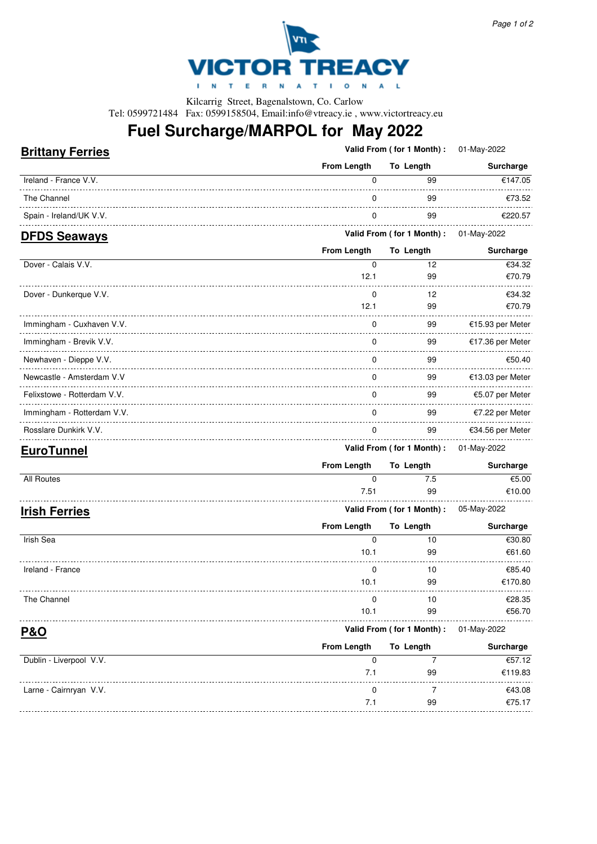

Kilcarrig Street, Bagenalstown, Co. Carlow Tel: 0599721484 Fax: 0599158504, Email:info@vtreacy.ie , www.victortreacy.eu

# **Fuel Surcharge/MARPOL for May 2022**

### **Brittany Ferries**

**Valid From ( for 1 Month) :** 01-May-2022

|                         | From Length | To Length                             | Surcharge |
|-------------------------|-------------|---------------------------------------|-----------|
| Ireland - France V.V.   |             | 99                                    | €147.05   |
| The Channel             |             | 99                                    | €73.52    |
| Spain - Ireland/UK V.V. |             | 99                                    | €220.57   |
| <b>DEDS Seaways</b>     |             | Valid From (for 1 Month): 01-May-2022 |           |

#### **DFDS Seaways**

|                             | <b>From Length</b> | To Length                  | Surcharge        |
|-----------------------------|--------------------|----------------------------|------------------|
| Dover - Calais V.V.         | 0                  | 12                         | €34.32           |
|                             | 12.1               | 99                         | €70.79           |
| Dover - Dunkerque V.V.      | $\Omega$           | 12                         | €34.32           |
|                             | 12.1               | 99                         | €70.79           |
| Immingham - Cuxhaven V.V.   | 0                  | 99                         | €15.93 per Meter |
| Immingham - Brevik V.V.     | 0                  | 99                         | €17.36 per Meter |
| Newhaven - Dieppe V.V.      | $\Omega$           | 99                         | €50.40           |
| Newcastle - Amsterdam V.V   | $\Omega$           | 99                         | €13.03 per Meter |
| Felixstowe - Rotterdam V.V. | 0                  | 99                         | €5.07 per Meter  |
| Immingham - Rotterdam V.V.  | $\mathbf 0$        | 99                         | €7.22 per Meter  |
| Rosslare Dunkirk V.V.       | $\mathbf 0$        | 99                         | €34.56 per Meter |
| <b>FuroTunnel</b>           |                    | Valid From (for 1 Month) : | 01-May-2022      |

| ________             | <b>From Length</b> | To Length                             | Surcharge |
|----------------------|--------------------|---------------------------------------|-----------|
| All Routes           |                    | 7.5                                   | €5.00     |
|                      | 7.51               | 99                                    | €10.00    |
| <b>Irish Ferries</b> |                    | Valid From (for 1 Month): 05-May-2022 |           |

|                         | <b>From Length</b> | To Length                 | Surcharge   |
|-------------------------|--------------------|---------------------------|-------------|
| Irish Sea               | 0                  | 10                        | €30.80      |
|                         | 10.1               | 99                        | €61.60      |
| Ireland - France        | 0                  | 10                        | €85.40      |
|                         | 10.1               | 99                        | €170.80     |
| The Channel             | $\Omega$           | 10                        | €28.35      |
|                         | 10.1               | 99                        | €56.70      |
| <b>P&amp;O</b>          |                    | Valid From (for 1 Month): | 01-May-2022 |
|                         | <b>From Length</b> | To Length                 | Surcharge   |
| Dublin - Liverpool V.V. | $\Omega$           |                           | €57.12      |
|                         |                    |                           |             |

| Dublin - Liverpool V.V. |            |    | €57.12  |
|-------------------------|------------|----|---------|
|                         | 71         | 99 | €119.83 |
| Larne - Cairnryan V.V.  |            |    | €43.08  |
|                         | $\prime$ 1 | 99 | €75.17  |
|                         |            |    |         |